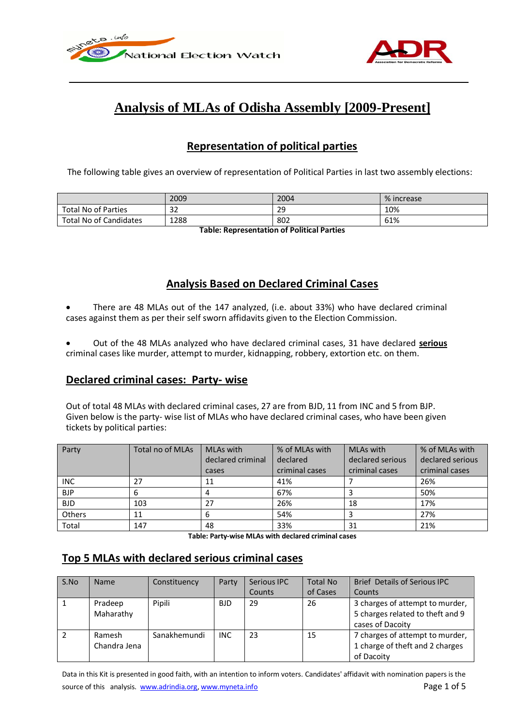



# **Analysis of MLAs of Odisha Assembly [2009-Present]**

# **Representation of political parties**

The following table gives an overview of representation of Political Parties in last two assembly elections:

|                            | 2009    | 2004 | % increase |
|----------------------------|---------|------|------------|
| <b>Total No of Parties</b> | 20<br>Œ | 29   | 10%        |
| Total No of Candidates     | 1288    | 802  | 61%        |

**Table: Representation of Political Parties**

# **Analysis Based on Declared Criminal Cases**

- There are 48 MLAs out of the 147 analyzed, (i.e. about 33%) who have declared criminal cases against them as per their self sworn affidavits given to the Election Commission.
- Out of the 48 MLAs analyzed who have declared criminal cases, 31 have declared **serious** criminal cases like murder, attempt to murder, kidnapping, robbery, extortion etc. on them.

### **Declared criminal cases: Party- wise**

Out of total 48 MLAs with declared criminal cases, 27 are from BJD, 11 from INC and 5 from BJP. Given below is the party- wise list of MLAs who have declared criminal cases, who have been given tickets by political parties:

| Party         | Total no of MLAs | MLAs with<br>declared criminal | % of MLAs with<br>MLAs with<br>declared serious<br>declared |                | % of MLAs with<br>declared serious |
|---------------|------------------|--------------------------------|-------------------------------------------------------------|----------------|------------------------------------|
|               |                  | cases                          | criminal cases                                              | criminal cases | criminal cases                     |
| <b>INC</b>    | 27               | 11                             | 41%                                                         |                | 26%                                |
| <b>BJP</b>    | b                |                                | 67%                                                         |                | 50%                                |
| <b>BJD</b>    | 103              | 27                             | 26%                                                         | 18             | 17%                                |
| <b>Others</b> | 11               |                                | 54%                                                         |                | 27%                                |
| Total         | 147              | 48                             | 33%                                                         | 31             | 21%                                |

**Table: Party-wise MLAs with declared criminal cases**

# **Top 5 MLAs with declared serious criminal cases**

| S.No | <b>Name</b>  | Constituency | Party      | Serious IPC | <b>Total No</b> | <b>Brief Details of Serious IPC</b> |
|------|--------------|--------------|------------|-------------|-----------------|-------------------------------------|
|      |              |              |            | Counts      | of Cases        | Counts                              |
|      | Pradeep      | Pipili       | <b>BJD</b> | 29          | 26              | 3 charges of attempt to murder,     |
|      | Maharathy    |              |            |             |                 | 5 charges related to theft and 9    |
|      |              |              |            |             |                 | cases of Dacoity                    |
|      | Ramesh       | Sanakhemundi | <b>INC</b> | 23          | 15              | 7 charges of attempt to murder,     |
|      | Chandra Jena |              |            |             |                 | 1 charge of theft and 2 charges     |
|      |              |              |            |             |                 | of Dacoity                          |

Data in this Kit is presented in good faith, with an intention to inform voters. Candidates' affidavit with nomination papers is the source of this analysis. www.adrindia.org, www.myneta.info Page 1 of 5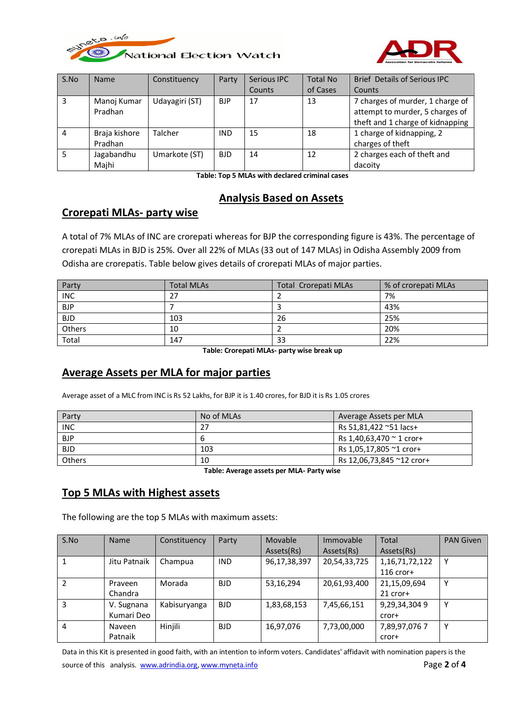



| S.No | <b>Name</b>   | Constituency   | Party      | Serious IPC | <b>Total No</b> | <b>Brief Details of Serious IPC</b> |
|------|---------------|----------------|------------|-------------|-----------------|-------------------------------------|
|      |               |                |            | Counts      | of Cases        | Counts                              |
| 3    | Manoj Kumar   | Udayagiri (ST) | <b>BJP</b> | 17          | 13              | 7 charges of murder, 1 charge of    |
|      | Pradhan       |                |            |             |                 | attempt to murder, 5 charges of     |
|      |               |                |            |             |                 | theft and 1 charge of kidnapping    |
| 4    | Braja kishore | Talcher        | <b>IND</b> | 15          | 18              | 1 charge of kidnapping, 2           |
|      | Pradhan       |                |            |             |                 | charges of theft                    |
|      | Jagabandhu    | Umarkote (ST)  | <b>BJD</b> | 14          | 12              | 2 charges each of theft and         |
|      | Majhi         |                |            |             |                 | dacoity                             |

**Table: Top 5 MLAs with declared criminal cases**

#### **Analysis Based on Assets**

### **Crorepati MLAs- party wise**

A total of 7% MLAs of INC are crorepati whereas for BJP the corresponding figure is 43%. The percentage of crorepati MLAs in BJD is 25%. Over all 22% of MLAs (33 out of 147 MLAs) in Odisha Assembly 2009 from Odisha are crorepatis. Table below gives details of crorepati MLAs of major parties.

| Party      | <b>Total MLAs</b> | <b>Total Crorepati MLAs</b> | % of crorepati MLAs |
|------------|-------------------|-----------------------------|---------------------|
| <b>INC</b> | 27                |                             | 7%                  |
| <b>BJP</b> |                   |                             | 43%                 |
| <b>BJD</b> | 103               | 26                          | 25%                 |
| Others     | 10                |                             | 20%                 |
| Total      | 147               | 33                          | 22%                 |

**Table: Crorepati MLAs- party wise break up**

### **Average Assets per MLA for major parties**

Average asset of a MLC from INC is Rs 52 Lakhs, for BJP it is 1.40 crores, for BJD it is Rs 1.05 crores

| Party         | No of MLAs | Average Assets per MLA           |
|---------------|------------|----------------------------------|
| <b>INC</b>    | 27         | Rs 51,81,422 ~51 lacs+           |
| <b>BJP</b>    | b          | Rs 1,40,63,470 $\degree$ 1 cror+ |
| <b>BJD</b>    | 103        | Rs 1,05,17,805 ~1 cror+          |
| <b>Others</b> | 10         | Rs 12,06,73,845 ~12 cror+        |

**Table: Average assets per MLA- Party wise**

#### **Top 5 MLAs with Highest assets**

The following are the top 5 MLAs with maximum assets:

| S.No | <b>Name</b>  | Constituency | Party      | Movable      | Immovable    | Total              | <b>PAN Given</b> |
|------|--------------|--------------|------------|--------------|--------------|--------------------|------------------|
|      |              |              |            | Assets(Rs)   | Assets(Rs)   | Assets(Rs)         |                  |
|      | Jitu Patnaik | Champua      | <b>IND</b> | 96,17,38,397 | 20,54,33,725 | 1, 16, 71, 72, 122 | Υ                |
|      |              |              |            |              |              | $116$ cror+        |                  |
|      | Praveen      | Morada       | <b>BJD</b> | 53,16,294    | 20,61,93,400 | 21,15,09,694       | ٧                |
|      | Chandra      |              |            |              |              | $21$ cror+         |                  |
| 3    | V. Sugnana   | Kabisuryanga | <b>BJD</b> | 1,83,68,153  | 7,45,66,151  | 9,29,34,3049       | v                |
|      | Kumari Deo   |              |            |              |              | cror+              |                  |
| 4    | Naveen       | Hinjili      | <b>BJD</b> | 16,97,076    | 7,73,00,000  | 7,89,97,076 7      | Υ                |
|      | Patnaik      |              |            |              |              | cror+              |                  |

Data in this Kit is presented in good faith, with an intention to inform voters. Candidates' affidavit with nomination papers is the source of this analysis. www.adrindia.org, www.myneta.info **Page 2** of 4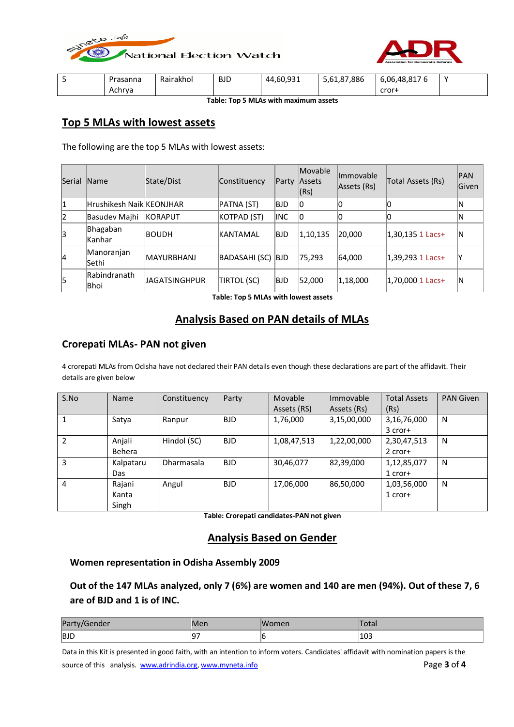



| Prasanna | Rairakhol | <b>BJD</b> | 44,60,931 | 886,'<br>07<br>$\sim$<br>5,61,87 | 6,06,48,817<br><b>t</b> | $\cdot$ |
|----------|-----------|------------|-----------|----------------------------------|-------------------------|---------|
| Achrya   |           |            |           |                                  | cror+                   |         |

**Table: Top 5 MLAs with maximum assets**

### **Top 5 MLAs with lowest assets**

The following are the top 5 MLAs with lowest assets:

| Serial | <b>Name</b>              | State/Dist           | Constituency      | Partv       | Movable<br>Assets<br>(Rs) | <b>Immovable</b><br>Assets (Rs) | Total Assets (Rs)   | PAN<br>Given |
|--------|--------------------------|----------------------|-------------------|-------------|---------------------------|---------------------------------|---------------------|--------------|
| 1      | Hrushikesh Naik KEONJHAR |                      | PATNA (ST)        | <b>BJD</b>  | 10                        |                                 | Ю                   | ΙN           |
| 12     | Basudev Majhi            | <b>KORAPUT</b>       | KOTPAD (ST)       | <b>IINC</b> | 10                        |                                 | 0                   | ΙN           |
| 3      | Bhagaban<br> Kanhar      | <b>BOUDH</b>         | IKANTAMAL         | <b>BJD</b>  | 1,10,135                  | 20,000                          | $ 1,30,135$ 1 Lacs+ | ΙN           |
| 14     | Manoranjan<br>Sethi      | <b>MAYURBHANJ</b>    | BADASAHI (SC) BJD |             | 75,293                    | 64,000                          | 1,39,293 1 Lacs+    |              |
| 5      | Rabindranath<br> Bhoi    | <b>JAGATSINGHPUR</b> | TIRTOL (SC)       | <b>BJD</b>  | 52,000                    | 1,18,000                        | 1,70,000 1 Lacs+    | ΙN           |

**Table: Top 5 MLAs with lowest assets**

### **Analysis Based on PAN details of MLAs**

#### **Crorepati MLAs- PAN not given**

4 crorepati MLAs from Odisha have not declared their PAN details even though these declarations are part of the affidavit. Their details are given below

| S.No | Name      | Constituency | Party      | Movable     | Immovable   | <b>Total Assets</b> | <b>PAN Given</b> |
|------|-----------|--------------|------------|-------------|-------------|---------------------|------------------|
|      |           |              |            | Assets (RS) | Assets (Rs) | (Rs)                |                  |
|      | Satya     | Ranpur       | <b>BJD</b> | 1,76,000    | 3,15,00,000 | 3,16,76,000         | N                |
|      |           |              |            |             |             | $3$ cror+           |                  |
| 2    | Anjali    | Hindol (SC)  | <b>BJD</b> | 1,08,47,513 | 1,22,00,000 | 2,30,47,513         | N                |
|      | Behera    |              |            |             |             | $2$ cror+           |                  |
| 3    | Kalpataru | Dharmasala   | <b>BJD</b> | 30,46,077   | 82,39,000   | 1,12,85,077         | N                |
|      | Das       |              |            |             |             | $1$ cror+           |                  |
| 4    | Rajani    | Angul        | <b>BJD</b> | 17,06,000   | 86,50,000   | 1,03,56,000         | N                |
|      | Kanta     |              |            |             |             | $1$ cror+           |                  |
|      | Singh     |              |            |             |             |                     |                  |

**Table: Crorepati candidates-PAN not given**

#### **Analysis Based on Gender**

#### **Women representation in Odisha Assembly 2009**

**Out of the 147 MLAs analyzed, only 7 (6%) are women and 140 are men (94%). Out of these 7, 6 are of BJD and 1 is of INC.**

| Pa <br>Gender |    | 'omen | vlar |
|---------------|----|-------|------|
| BJD           | -- |       | 103  |

Data in this Kit is presented in good faith, with an intention to inform voters. Candidates' affidavit with nomination papers is the source of this analysis. www.adrindia.org, www.myneta.info **Page 3** of 4